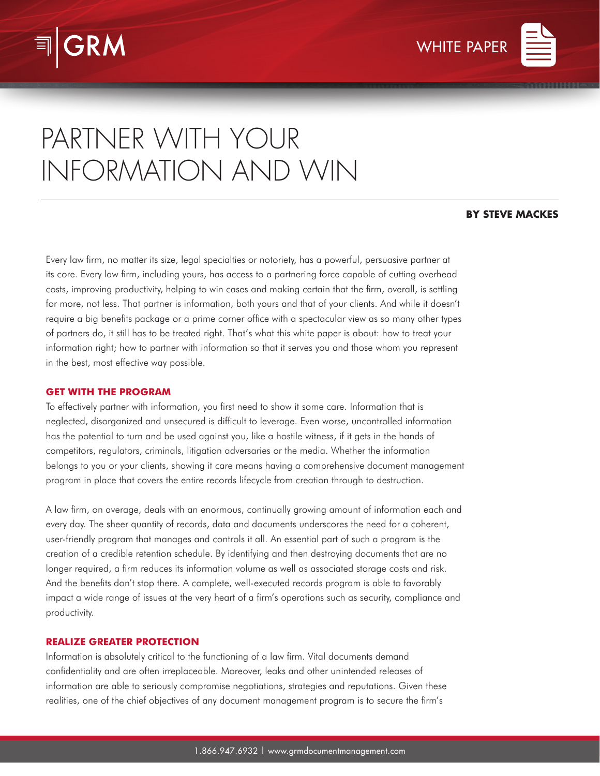



# PARTNER WITH YOUR INFORMATION AND WIN

## **BY STEVE MACKES**

Every law firm, no matter its size, legal specialties or notoriety, has a powerful, persuasive partner at its core. Every law firm, including yours, has access to a partnering force capable of cutting overhead costs, improving productivity, helping to win cases and making certain that the firm, overall, is settling for more, not less. That partner is information, both yours and that of your clients. And while it doesn't require a big benefits package or a prime corner office with a spectacular view as so many other types of partners do, it still has to be treated right. That's what this white paper is about: how to treat your information right; how to partner with information so that it serves you and those whom you represent in the best, most effective way possible.

### **GET WITH THE PROGRAM**

To effectively partner with information, you first need to show it some care. Information that is neglected, disorganized and unsecured is difficult to leverage. Even worse, uncontrolled information has the potential to turn and be used against you, like a hostile witness, if it gets in the hands of competitors, regulators, criminals, litigation adversaries or the media. Whether the information belongs to you or your clients, showing it care means having a comprehensive document management program in place that covers the entire records lifecycle from creation through to destruction.

A law firm, on average, deals with an enormous, continually growing amount of information each and every day. The sheer quantity of records, data and documents underscores the need for a coherent, user-friendly program that manages and controls it all. An essential part of such a program is the creation of a credible retention schedule. By identifying and then destroying documents that are no longer required, a firm reduces its information volume as well as associated storage costs and risk. And the benefits don't stop there. A complete, well-executed records program is able to favorably impact a wide range of issues at the very heart of a firm's operations such as security, compliance and productivity.

### **REALIZE GREATER PROTECTION**

Information is absolutely critical to the functioning of a law firm. Vital documents demand confidentiality and are often irreplaceable. Moreover, leaks and other unintended releases of information are able to seriously compromise negotiations, strategies and reputations. Given these realities, one of the chief objectives of any document management program is to secure the firm's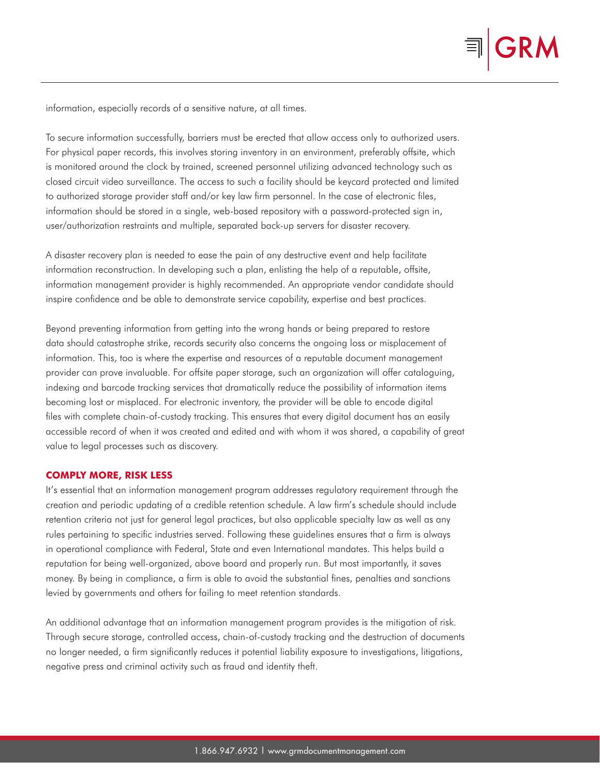

information, especially records of a sensitive nature, at all times.

To secure information successfully, barriers must be erected that allow access only to authorized users. For physical paper records, this involves storing inventory in an environment, preferably offsite, which is monitored around the clock by trained, screened personnel utilizing advanced technology such as closed circuit video surveillance. The access to such a facility should be keycard protected and limited to authorized storage provider staff and/or key law firm personnel. In the case of electronic files, information should be stored in a single, web-based repository with a password-protected sign in, user/authorization restraints and multiple, separated back-up servers for disaster recovery.

A disaster recovery plan is needed to ease the pain of any destructive event and help facilitate information reconstruction. In developing such a plan, enlisting the help of a reputable, offsite, information management provider is highly recommended. An appropriate vendor candidate should inspire confidence and be able to demonstrate service capability, expertise and best practices.

Beyond preventing information from getting into the wrong hands or being prepared to restore data should catastrophe strike, records security also concerns the ongoing loss or misplacement of information. This, too is where the expertise and resources of a reputable document management provider can prove invaluable. For offsite paper storage, such an organization will offer cataloguing, indexing and barcode tracking services that dramatically reduce the possibility of information items becoming lost or misplaced. For electronic inventory, the provider will be able to encode digital files with complete chain-of-custody tracking. This ensures that every digital document has an easily accessible record of when it was created and edited and with whom it was shared, a capability of great value to legal processes such as discovery.

### **COMPLY MORE, RISK LESS**

It's essential that an information management program addresses regulatory requirement through the creation and periodic updating of a credible retention schedule. A law firm's schedule should include retention criteria not just for general legal practices, but also applicable specialty law as well as any rules pertaining to specific industries served. Following these guidelines ensures that a firm is always in operational compliance with Federal, State and even International mandates. This helps build a reputation for being well-organized, above board and properly run. But most importantly, it saves money. By being in compliance, a firm is able to avoid the substantial fines, penalties and sanctions levied by governments and others for failing to meet retention standards.

An additional advantage that an information management program provides is the mitigation of risk. Through secure storage, controlled access, chain-of-custody tracking and the destruction of documents no longer needed, a firm significantly reduces it potential liability exposure to investigations, litigations, negative press and criminal activity such as fraud and identity theft.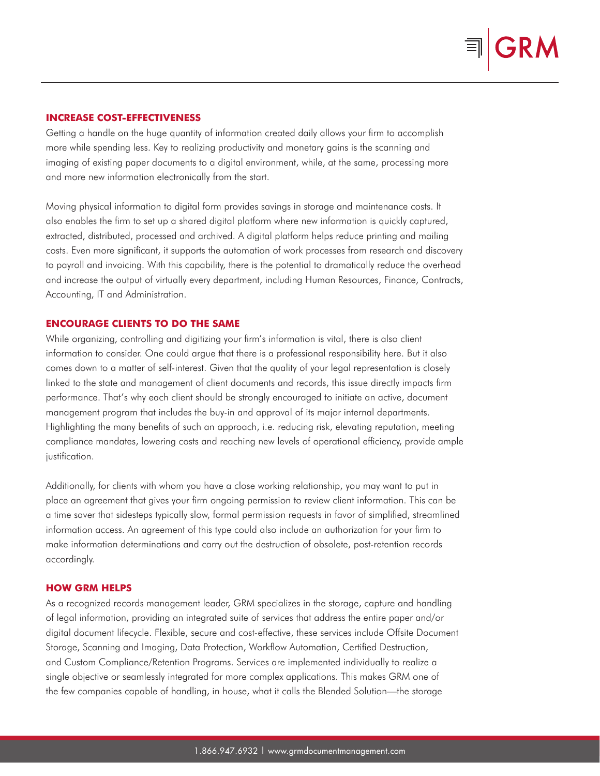### **INCREASE COST-EFFECTIVENESS**

Getting a handle on the huge quantity of information created daily allows your firm to accomplish more while spending less. Key to realizing productivity and monetary gains is the scanning and imaging of existing paper documents to a digital environment, while, at the same, processing more and more new information electronically from the start.

Moving physical information to digital form provides savings in storage and maintenance costs. It also enables the firm to set up a shared digital platform where new information is quickly captured, extracted, distributed, processed and archived. A digital platform helps reduce printing and mailing costs. Even more significant, it supports the automation of work processes from research and discovery to payroll and invoicing. With this capability, there is the potential to dramatically reduce the overhead and increase the output of virtually every department, including Human Resources, Finance, Contracts, Accounting, IT and Administration.

## **ENCOURAGE CLIENTS TO DO THE SAME**

While organizing, controlling and digitizing your firm's information is vital, there is also client information to consider. One could argue that there is a professional responsibility here. But it also comes down to a matter of self-interest. Given that the quality of your legal representation is closely linked to the state and management of client documents and records, this issue directly impacts firm performance. That's why each client should be strongly encouraged to initiate an active, document management program that includes the buy-in and approval of its major internal departments. Highlighting the many benefits of such an approach, i.e. reducing risk, elevating reputation, meeting compliance mandates, lowering costs and reaching new levels of operational efficiency, provide ample justification.

Additionally, for clients with whom you have a close working relationship, you may want to put in place an agreement that gives your firm ongoing permission to review client information. This can be a time saver that sidesteps typically slow, formal permission requests in favor of simplified, streamlined information access. An agreement of this type could also include an authorization for your firm to make information determinations and carry out the destruction of obsolete, post-retention records accordingly.

## **HOW GRM HELPS**

As a recognized records management leader, GRM specializes in the storage, capture and handling of legal information, providing an integrated suite of services that address the entire paper and/or digital document lifecycle. Flexible, secure and cost-effective, these services include Offsite Document Storage, Scanning and Imaging, Data Protection, Workflow Automation, Certified Destruction, and Custom Compliance/Retention Programs. Services are implemented individually to realize a single objective or seamlessly integrated for more complex applications. This makes GRM one of the few companies capable of handling, in house, what it calls the Blended Solution—the storage